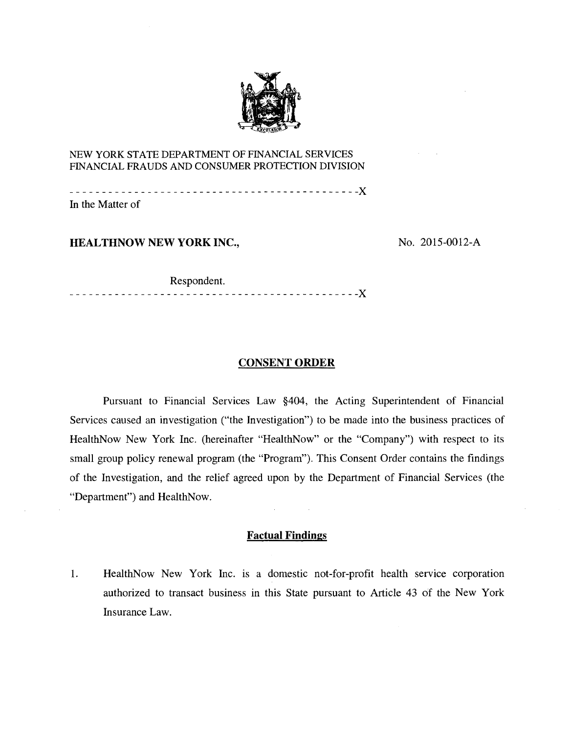

### NEW YORK STATE DEPARTMENT OF FINANCIAL SERVICES FINANCIAL FRAUDS AND CONSUMER PROTECTION DIVISION

- - - - - - - - - - - - - - - - - - - -- - - - - --- - - - - - - --- - - - -- - - -X In the Matter of

# **HEALTHNOW NEW YORK INC.,**  No. 2015-0012-A

Respondent. -- - - - -- - - - - - - - - -- - - - - - - -- - -- - - - - - - - - - - - - -- - - -X

### **CONSENT ORDER**

Pursuant to Financial Services Law §404, the Acting Superintendent of Financial Services caused an investigation ("the Investigation") to be made into the business practices of HealthNow New York Inc. (hereinafter "HealthNow" or the "Company") with respect to its small group policy renewal program (the "Program"). This Consent Order contains the findings of the Investigation, and the relief agreed upon by the Department of Financial Services (the "Department") and HealthNow.

# **Factual Findings**

1. HealthNow New York Inc. is a domestic not-for-profit health service corporation authorized to transact business in this State pursuant to Article 43 of the New York Insurance Law.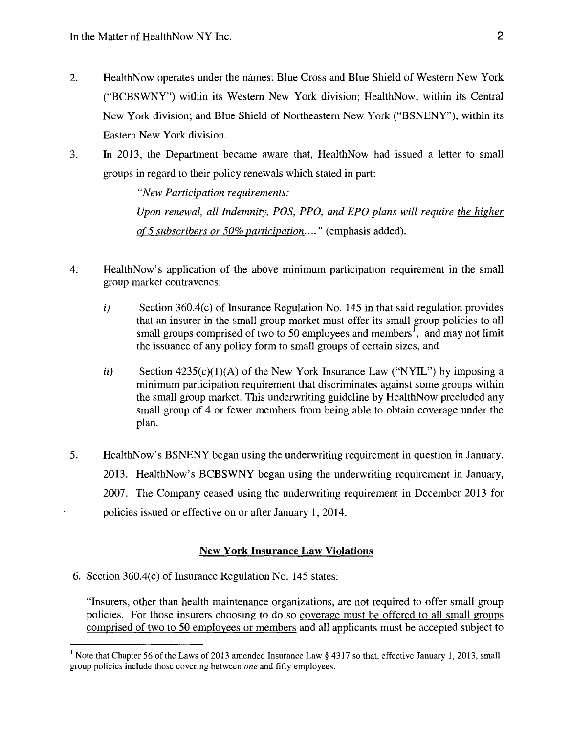- 2. HealthNow operates under the names: Blue Cross and Blue Shield of Western New York ("BCBSWNY") within its Western New York division; HealthNow, within its Central New York division; and Blue Shield of Northeastern New York ("BSNENY"), within its Eastern New York division.
- 3. In 2013, the Department became aware that, HealthNow had issued a letter to small groups in regard to their policy renewals which stated in part:

*"New Participation requirements: Upon renewal, all Indemnity, POS, PPO, and EPO plans will require the higher of5 subscribers or 50% participation .... "* (emphasis added).

- 4. HealthNow's application of the above minimum participation requirement in the small group market contravenes:
	- $i)$  Section 360.4(c) of Insurance Regulation No. 145 in that said regulation provides that an insurer in the small group market must offer its small group policies to all small groups comprised of two to 50 employees and members<sup>1</sup>, and may not limit the issuance of any policy form to small groups of certain sizes, and
	- *ii*) Section 4235(c)(1)(A) of the New York Insurance Law ("NYIL") by imposing a minimum participation requirement that discriminates against some groups within the small group market. This underwriting guideline by HealthNow precluded any small group of 4 or fewer members from being able to obtain coverage under the plan.
- 5. HealthNow's BSNENY began using the underwriting requirement in question in January, 2013. HealthNow's BCBSWNY began using the underwriting requirement in January, 2007. The Company ceased using the underwriting requirement in December 2013 for policies issued or effective on or after January **1,** 2014.

# **New York Insurance Law Violations**

6. Section 360.4(c) of Insurance Regulation No. 145 states:

"Insurers, other than health maintenance organizations, are not required to offer small group policies. For those insurers choosing to do so coverage must be offered to all small groups comprised of two to 50 employees or members and all applicants must be accepted subject to

<sup>&</sup>lt;sup>1</sup> Note that Chapter 56 of the Laws of 2013 amended Insurance Law § 4317 so that, effective January 1, 2013, small group policies include those covering between *one* and fifty employees.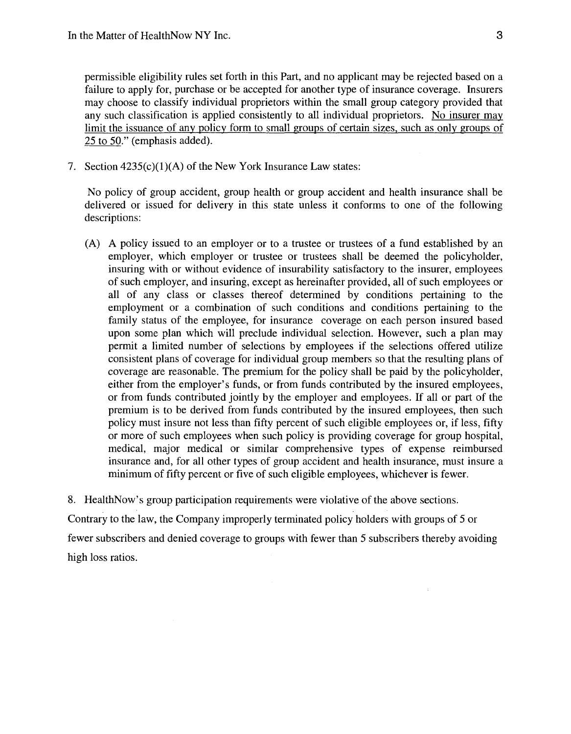permissible eligibility rules set forth in this Part, and no applicant may be rejected based on a failure to apply for, purchase or be accepted for another type of insurance coverage. Insurers may choose to classify individual proprietors within the small group category provided that any such classification is applied consistently to all individual proprietors. No insurer may limit the issuance of any policy form to small groups of certain sizes, such as only groups of 25 to 50." (emphasis added).

7. Section  $4235(c)(1)(A)$  of the New York Insurance Law states:

No policy of group accident, group health or group accident and health insurance shall be delivered or issued for delivery in this state unless it conforms to one of the following descriptions:

(A) A policy issued to an employer or to a trustee or trustees of a fund established by an employer, which employer or trustee or trustees shall be deemed the policyholder, insuring with or without evidence of insurability satisfactory to the insurer, employees of such employer, and insuring, except as hereinafter provided, all of such employees or all of any class or classes thereof determined by conditions pertaining to the employment or a combination of such conditions and conditions pertaining to the family status of the employee, for insurance coverage on each person insured based upon some plan which will preclude individual selection. However, such a plan may permit a limited number of selections by employees if the selections offered utilize consistent plans of coverage for individual group members so that the resulting plans of coverage are reasonable. The premium for the policy shall be paid by the policyholder, either from the employer's funds, or from funds contributed by the insured employees, or from funds contributed jointly by the employer and employees. If all or part of the premium is to be derived from funds contributed by the insured employees, then such policy must insure not less than fifty percent of such eligible employees or, if less, fifty or more of such employees when such policy is providing coverage for group hospital, medical, major medical or similar comprehensive types of expense reimbursed insurance and, for all other types of group accident and health insurance, must insure a minimum of fifty percent or five of such eligible employees, whichever is fewer.

8. HealthNow's group participation requirements were violative of the above sections.

Contrary to the law, the Company improperly terminated policy holders with groups of 5 or fewer subscribers and denied coverage to groups with fewer than 5 subscribers thereby avoiding high loss ratios.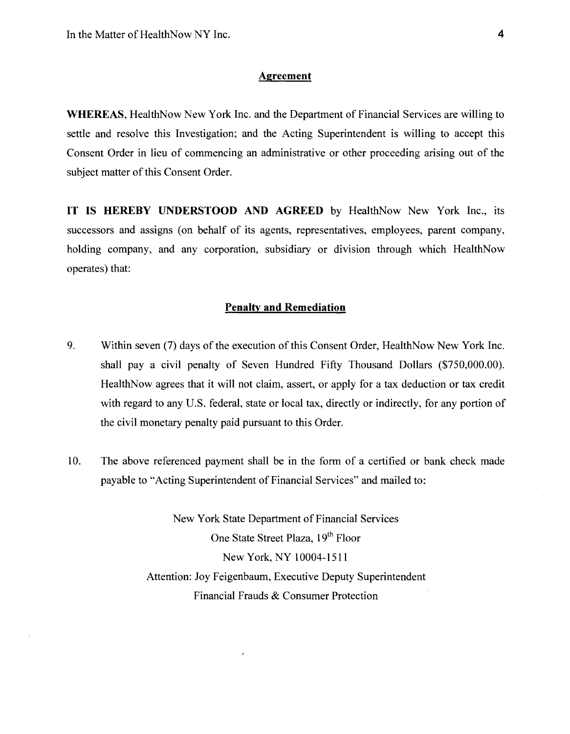#### **Agreement**

**WHEREAS,** HealthNow New York Inc. and the Department of Financial Services are willing to settle and resolve this Investigation; and the Acting Superintendent is willing to accept this Consent Order in lieu of commencing an administrative or other proceeding arising out of the subject matter of this Consent Order.

**IT IS HEREBY UNDERSTOOD AND AGREED** by HealthNow New York Inc., its successors and assigns (on behalf of its agents, representatives, employees, parent company, holding company, and any corporation, subsidiary or division through which HealthNow operates) that:

#### **Penalty and Remediation**

- 9. Within seven (7) days of the execution of this Consent Order, HealthNow New York Inc. shall pay a civil penalty of Seven Hundred Fifty Thousand Dollars (\$750,000.00). HealthNow agrees that it will not claim, assert, or apply for a tax deduction or tax credit with regard to any U.S. federal, state or local tax, directly or indirectly, for any portion of the civil monetary penalty paid pursuant to this Order.
- 10. The above referenced payment shall be in the form of a certified or bank check made payable to '"Acting Superintendent of Financial Services" and mailed to:

New York State Department of Financial Services One State Street Plaza, 19<sup>th</sup> Floor New York, NY 10004-1511 Attention: Joy Feigenbaum, Executive Deputy Superintendent Financial Frauds & Consumer Protection

 $\bar{z}$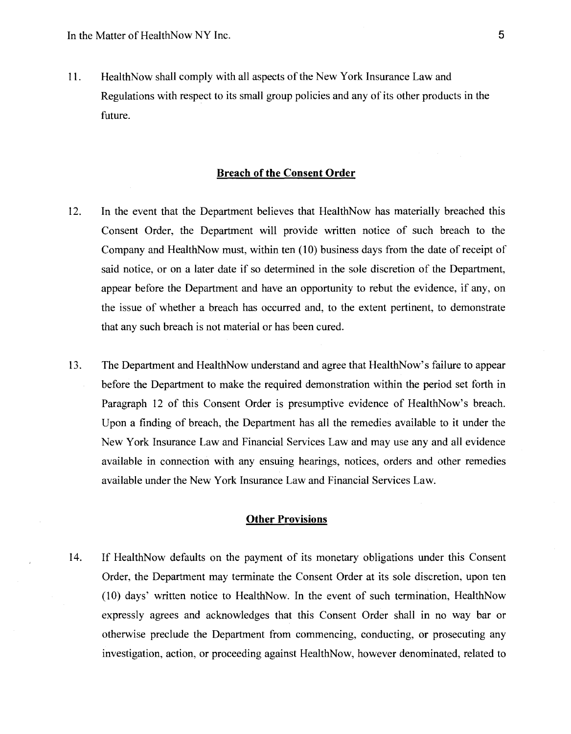11. HealthNow shall comply with all aspects of the New York Insurance Law and Regulations with respect to its small group policies and any of its other products in the future.

### **Breach of the Consent Order**

- 12. In the event that the Department believes that HealthNow has materially breached this Consent Order, the Department will provide written notice of such breach to the Company and HealthNow must, within ten  $(10)$  business days from the date of receipt of said notice, or on a later date if so determined in the sole discretion of the Department, appear before the Department and have an opportunity to rebut the evidence, if any, on the issue of whether a breach has occurred and, to the extent pertinent, to demonstrate that any such breach is not material or has been cured.
- 13. The Department and HealthNow understand and agree that HealthNow's failure to appear before the Department to make the required demonstration within the period set forth in Paragraph 12 of this Consent Order is presumptive evidence of HealthNow's breach. Upon a finding of breach, the Department has all the remedies available to it under the New York Insurance Law and Financial Services Law and may use any and all evidence available in connection with any ensuing hearings, notices, orders and other remedies available under the New York Insurance Law and Financial Services Law.

### **Other Provisions**

14. If HealthNow defaults on the payment of its monetary obligations under this Consent Order, the Department may terminate the Consent Order at its sole discretion, upon ten (10) days' written notice to HealthNow. In the event of such termination, HealthNow expressly agrees and acknowledges that this Consent Order shall in no way bar or otherwise preclude the Department from commencing, conducting, or prosecuting any investigation, action, or proceeding against HealthNow, however denominated, related to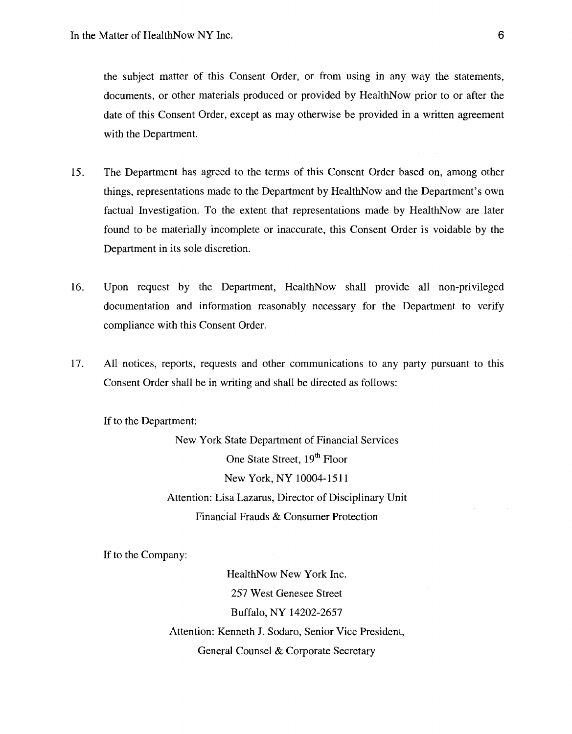the subject matter of this Consent Order, or from using in any way the statements, documents, or other materials produced or provided by HealthNow prior to or after the date of this Consent Order, except as may otherwise be provided in a written agreement with the Department.

- 15. The Department has agreed to the terms of this Consent Order based on, among other things, representations made to the Department by HealthNow and the Department's own factual Investigation. To the extent that representations made by HealthNow are later found to be materially incomplete or inaccurate, this Consent Order is voidable by the Department in its sole discretion.
- 16. Upon request by the Department, HealthNow shall provide all non-privileged documentation and information reasonably necessary for the Department to verify compliance with this Consent Order.
- 17. All notices, reports, requests and other communications to any party pursuant to this Consent Order shall be in writing and shall be directed as follows:

If to the Department:

New York State Department of Financial Services One State Street, 19<sup>th</sup> Floor New York, NY 10004-1511 Attention: Lisa Lazarus, Director of Disciplinary Unit Financial Frauds & Consumer Protection

If to the Company:

HealthNow New York Inc. 257 West Genesee Street Buffalo, NY 14202-2657 Attention: Kenneth J. Sodaro, Senior Vice President, General Counsel & Corporate Secretary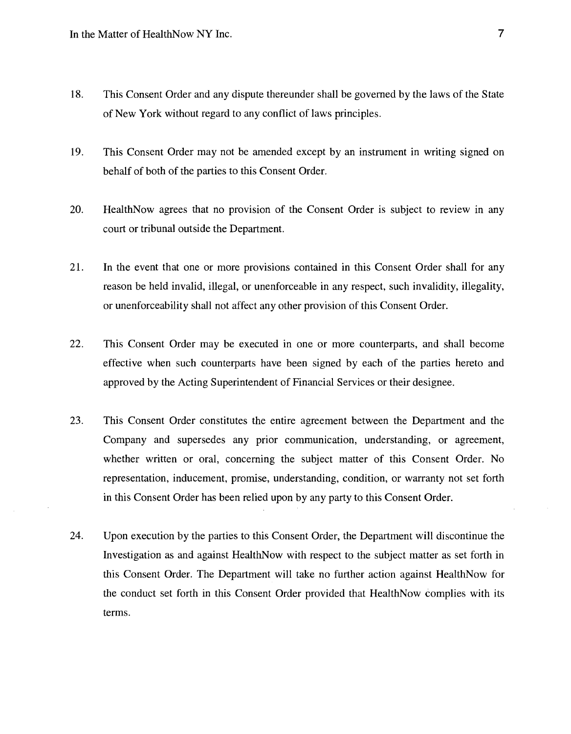- 18. This Consent Order and any dispute thereunder shall be governed by the laws of the State of New York without regard to any conflict of laws principles.
- 19. This Consent Order may not be amended except by an instrument in writing signed on behalf of both of the parties to this Consent Order.
- 20. HealthNow agrees that no provision of the Consent Order is subject to review in any court or tribunal outside the Department.
- 21. In the event that one or more provisions contained in this Consent Order shall for any reason be held invalid, illegal, or unenforceable in any respect, such invalidity, illegality, or unenforceability shall not affect any other provision of this Consent Order.
- 22. This Consent Order may be executed in one or more counterparts, and shall become effective when such counterparts have been signed by each of the parties hereto and approved by the Acting Superintendent of Financial Services or their designee.
- 23. This Consent Order constitutes the entire agreement between the Department and the Company and supersedes any prior communication, understanding, or agreement, whether written or oral, concerning the subject matter of this Consent Order. No representation, inducement, promise, understanding, condition, or warranty not set forth in this Consent Order has been relied upon by any party to this Consent Order.
- 24. Upon execution by the parties to this Consent Order, the Department will discontinue the Investigation as and against HealthNow with respect to the subject matter as set forth in this Consent Order. The Department will take no further action against HealthNow for the conduct set forth in this Consent Order provided that HealthNow complies with its terms.